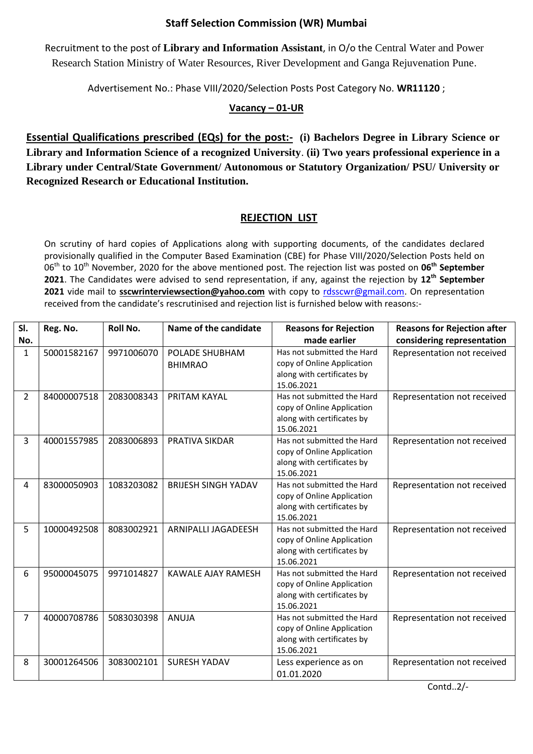## **Staff Selection Commission (WR) Mumbai**

Recruitment to the post of **Library and Information Assistant**, in O/o the Central Water and Power Research Station Ministry of Water Resources, River Development and Ganga Rejuvenation Pune.

Advertisement No.: Phase VIII/2020/Selection Posts Post Category No. **WR11120** ;

## **Vacancy – 01-UR**

**Essential Qualifications prescribed (EQs) for the post:- (i) Bachelors Degree in Library Science or Library and Information Science of a recognized University**. **(ii) Two years professional experience in a Library under Central/State Government/ Autonomous or Statutory Organization/ PSU/ University or Recognized Research or Educational Institution.**

## **REJECTION LIST**

On scrutiny of hard copies of Applications along with supporting documents, of the candidates declared provisionally qualified in the Computer Based Examination (CBE) for Phase VIII/2020/Selection Posts held on 06th to 10th November, 2020 for the above mentioned post. The rejection list was posted on **06th September 2021**. The Candidates were advised to send representation, if any, against the rejection by **12 th September 2021** vide mail to **sscwrinterviewsection@yahoo.com** with copy to [rdsscwr@gmail.com.](mailto:rdsscwr@gmail.com) On representation received from the candidate's rescrutinised and rejection list is furnished below with reasons:-

| SI.            | Reg. No.    | <b>Roll No.</b> | Name of the candidate      | <b>Reasons for Rejection</b>                             | <b>Reasons for Rejection after</b> |
|----------------|-------------|-----------------|----------------------------|----------------------------------------------------------|------------------------------------|
| No.            |             |                 |                            | made earlier                                             | considering representation         |
| $\mathbf{1}$   | 50001582167 | 9971006070      | POLADE SHUBHAM             | Has not submitted the Hard                               | Representation not received        |
|                |             |                 | <b>BHIMRAO</b>             | copy of Online Application                               |                                    |
|                |             |                 |                            | along with certificates by                               |                                    |
|                |             |                 |                            | 15.06.2021                                               |                                    |
| $\overline{2}$ | 84000007518 | 2083008343      | PRITAM KAYAL               | Has not submitted the Hard                               | Representation not received        |
|                |             |                 |                            | copy of Online Application                               |                                    |
|                |             |                 |                            | along with certificates by<br>15.06.2021                 |                                    |
|                |             |                 |                            | Has not submitted the Hard                               |                                    |
| 3              | 40001557985 | 2083006893      | PRATIVA SIKDAR             |                                                          | Representation not received        |
|                |             |                 |                            | copy of Online Application<br>along with certificates by |                                    |
|                |             |                 |                            | 15.06.2021                                               |                                    |
| 4              | 83000050903 | 1083203082      | <b>BRIJESH SINGH YADAV</b> | Has not submitted the Hard                               | Representation not received        |
|                |             |                 |                            | copy of Online Application                               |                                    |
|                |             |                 |                            | along with certificates by                               |                                    |
|                |             |                 |                            | 15.06.2021                                               |                                    |
| 5              | 10000492508 | 8083002921      | ARNIPALLI JAGADEESH        | Has not submitted the Hard                               | Representation not received        |
|                |             |                 |                            | copy of Online Application                               |                                    |
|                |             |                 |                            | along with certificates by                               |                                    |
|                |             |                 |                            | 15.06.2021                                               |                                    |
| 6              | 95000045075 | 9971014827      | KAWALE AJAY RAMESH         | Has not submitted the Hard                               | Representation not received        |
|                |             |                 |                            | copy of Online Application                               |                                    |
|                |             |                 |                            | along with certificates by                               |                                    |
|                |             |                 |                            | 15.06.2021                                               |                                    |
| $\overline{7}$ | 40000708786 | 5083030398      | ANUJA                      | Has not submitted the Hard                               | Representation not received        |
|                |             |                 |                            | copy of Online Application                               |                                    |
|                |             |                 |                            | along with certificates by                               |                                    |
|                |             |                 |                            | 15.06.2021                                               |                                    |
| 8              | 30001264506 | 3083002101      | <b>SURESH YADAV</b>        | Less experience as on                                    | Representation not received        |
|                |             |                 |                            | 01.01.2020                                               |                                    |